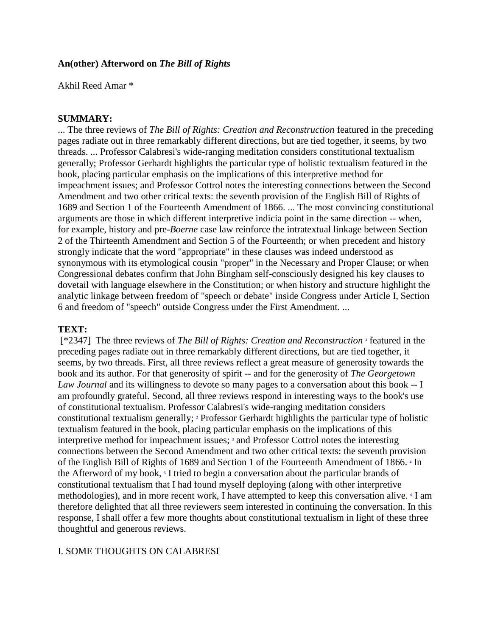### **An(other) Afterword on** *The Bill of Rights*

Akhil Reed Amar \*

### **SUMMARY:**

... The three reviews of *The Bill of Rights: Creation and Reconstruction* featured in the preceding pages radiate out in three remarkably different directions, but are tied together, it seems, by two threads. ... Professor Calabresi's wide-ranging meditation considers constitutional textualism generally; Professor Gerhardt highlights the particular type of holistic textualism featured in the book, placing particular emphasis on the implications of this interpretive method for impeachment issues; and Professor Cottrol notes the interesting connections between the Second Amendment and two other critical texts: the seventh provision of the English Bill of Rights of 1689 and Section 1 of the Fourteenth Amendment of 1866. ... The most convincing constitutional arguments are those in which different interpretive indicia point in the same direction -- when, for example, history and pre-*Boerne* case law reinforce the intratextual linkage between Section 2 of the Thirteenth Amendment and Section 5 of the Fourteenth; or when precedent and history strongly indicate that the word "appropriate" in these clauses was indeed understood as synonymous with its etymological cousin "proper" in the Necessary and Proper Clause; or when Congressional debates confirm that John Bingham self-consciously designed his key clauses to dovetail with language elsewhere in the Constitution; or when history and structure highlight the analytic linkage between freedom of "speech or debate" inside Congress under Article I, Section 6 and freedom of "speech" outside Congress under the First Amendment. ...

### **TEXT:**

[\*2347] The three reviews of *The Bill of Rights: Creation and Reconstruction* **[1](http://www.lexis.com/research/retrieve?_m=376aa0c1188daca0661d2bb80722771b&csvc=le&cform=byCitation&_fmtstr=FULL&docnum=1&_startdoc=1&wchp=dGLbVtb-zSkAz&_md5=05f60087f440c1eaba243fa17575c8df#n1)** featured in the preceding pages radiate out in three remarkably different directions, but are tied together, it seems, by two threads. First, all three reviews reflect a great measure of generosity towards the book and its author. For that generosity of spirit -- and for the generosity of *The Georgetown Law Journal* and its willingness to devote so many pages to a conversation about this book -- I am profoundly grateful. Second, all three reviews respond in interesting ways to the book's use of constitutional textualism. Professor Calabresi's wide-ranging meditation considers constitutional textualism generally;**<sup>2</sup>** Professor Gerhardt highlights the particular type of holistic textualism featured in the book, placing particular emphasis on the implications of this interpretive method for impeachment issues;**<sup>3</sup>** and Professor Cottrol notes the interesting connections between the Second Amendment and two other critical texts: the seventh provision of the English Bill of Rights of 1689 and Section 1 of the Fourteenth Amendment of 1866.**<sup>4</sup>** In the Afterword of my book,**<sup>5</sup>** I tried to begin a conversation about the particular brands of constitutional textualism that I had found myself deploying (along with other interpretive methodologies), and in more recent work, I have attempted to keep this conversation alive.**<sup>6</sup>** I am therefore delighted that all three reviewers seem interested in continuing the conversation. In this response, I shall offer a few more thoughts about constitutional textualism in light of these three thoughtful and generous reviews.

# I. SOME THOUGHTS ON CALABRESI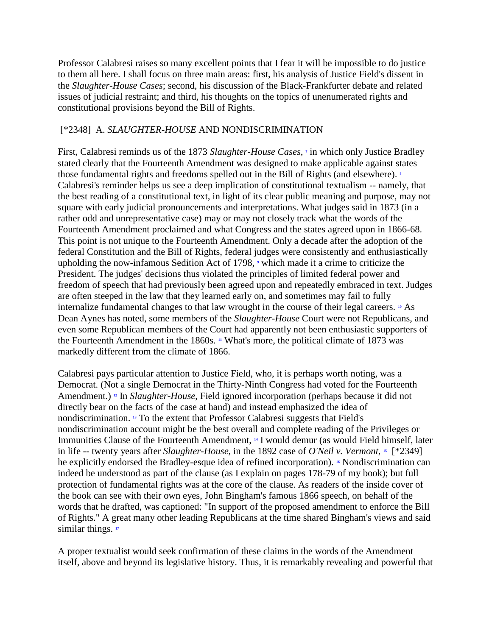Professor Calabresi raises so many excellent points that I fear it will be impossible to do justice to them all here. I shall focus on three main areas: first, his analysis of Justice Field's dissent in the *Slaughter-House Cases*; second, his discussion of the Black-Frankfurter debate and related issues of judicial restraint; and third, his thoughts on the topics of unenumerated rights and constitutional provisions beyond the Bill of Rights.

## [\*2348] A. *SLAUGHTER-HOUSE* AND NONDISCRIMINATION

First, Calabresi reminds us of the 1873 *Slaughter-House Cases*, **7** in which only Justice Bradley stated clearly that the Fourteenth Amendment was designed to make applicable against states those fundamental rights and freedoms spelled out in the Bill of Rights (and elsewhere).**<sup>8</sup>** Calabresi's reminder helps us see a deep implication of constitutional textualism -- namely, that the best reading of a constitutional text, in light of its clear public meaning and purpose, may not square with early judicial pronouncements and interpretations. What judges said in 1873 (in a rather odd and unrepresentative case) may or may not closely track what the words of the Fourteenth Amendment proclaimed and what Congress and the states agreed upon in 1866-68. This point is not unique to the Fourteenth Amendment. Only a decade after the adoption of the federal Constitution and the Bill of Rights, federal judges were consistently and enthusiastically upholding the now-infamous Sedition Act of 1798,**<sup>9</sup>** which made it a crime to criticize the President. The judges' decisions thus violated the principles of limited federal power and freedom of speech that had previously been agreed upon and repeatedly embraced in text. Judges are often steeped in the law that they learned early on, and sometimes may fail to fully internalize fundamental changes to that law wrought in the course of their legal careers.**<sup>10</sup>** As Dean Aynes has noted, some members of the *Slaughter-House* Court were not Republicans, and even some Republican members of the Court had apparently not been enthusiastic supporters of theFourteenth Amendment in the 1860s. **11** What's more, the political climate of 1873 was markedly different from the climate of 1866.

Calabresi pays particular attention to Justice Field, who, it is perhaps worth noting, was a Democrat. (Not a single Democrat in the Thirty-Ninth Congress had voted for the Fourteenth Amendment.)**<sup>12</sup>** In *Slaughter-House*, Field ignored incorporation (perhaps because it did not directly bear on the facts of the case at hand) and instead emphasized the idea of nondiscrimination.**<sup>13</sup>** To the extent that Professor Calabresi suggests that Field's nondiscrimination account might be the best overall and complete reading of the Privileges or Immunities Clause of the Fourteenth Amendment,**<sup>14</sup>** I would demur (as would Field himself, later in life -- twenty years after *Slaughter-House*, in the 1892 case of *O'Neil v. Vermont*, **<sup>15</sup>** [\*2349] he explicitly endorsed the Bradley-esque idea of refined incorporation).**<sup>16</sup>** Nondiscrimination can indeed be understood as part of the clause (as I explain on pages 178-79 of my book); but full protection of fundamental rights was at the core of the clause. As readers of the inside cover of the book can see with their own eyes, John Bingham's famous 1866 speech, on behalf of the words that he drafted, was captioned: "In support of the proposed amendment to enforce the Bill of Rights." A great many other leading Republicans at the time shared Bingham's views and said similarthings. **17** 

A proper textualist would seek confirmation of these claims in the words of the Amendment itself, above and beyond its legislative history. Thus, it is remarkably revealing and powerful that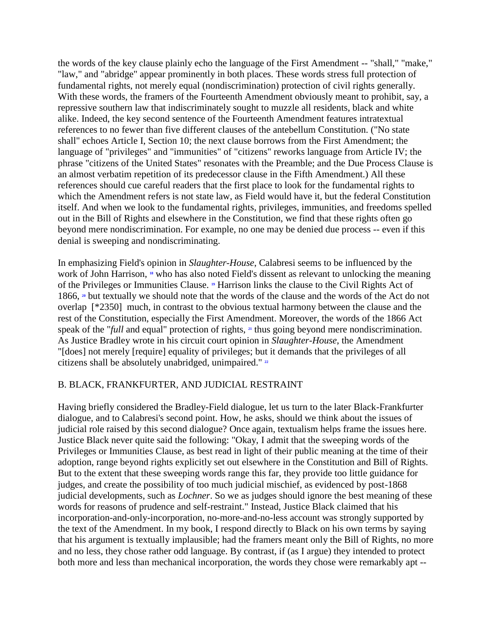the words of the key clause plainly echo the language of the First Amendment -- "shall," "make," "law," and "abridge" appear prominently in both places. These words stress full protection of fundamental rights, not merely equal (nondiscrimination) protection of civil rights generally. With these words, the framers of the Fourteenth Amendment obviously meant to prohibit, say, a repressive southern law that indiscriminately sought to muzzle all residents, black and white alike. Indeed, the key second sentence of the Fourteenth Amendment features intratextual references to no fewer than five different clauses of the antebellum Constitution. ("No state shall" echoes Article I, Section 10; the next clause borrows from the First Amendment; the language of "privileges" and "immunities" of "citizens" reworks language from Article IV; the phrase "citizens of the United States" resonates with the Preamble; and the Due Process Clause is an almost verbatim repetition of its predecessor clause in the Fifth Amendment.) All these references should cue careful readers that the first place to look for the fundamental rights to which the Amendment refers is not state law, as Field would have it, but the federal Constitution itself. And when we look to the fundamental rights, privileges, immunities, and freedoms spelled out in the Bill of Rights and elsewhere in the Constitution, we find that these rights often go beyond mere nondiscrimination. For example, no one may be denied due process -- even if this denial is sweeping and nondiscriminating.

In emphasizing Field's opinion in *Slaughter-House*, Calabresi seems to be influenced by the work of John Harrison,**<sup>18</sup>** who has also noted Field's dissent as relevant to unlocking the meaning of the Privileges or Immunities Clause.**<sup>19</sup>** Harrison links the clause to the Civil Rights Act of 1866,**<sup>20</sup>** but textually we should note that the words of the clause and the words of the Act do not overlap [\*2350] much, in contrast to the obvious textual harmony between the clause and the rest of the Constitution, especially the First Amendment. Moreover, the words of the 1866 Act speak of the "*full* and equal" protection of rights,**<sup>21</sup>** thus going beyond mere nondiscrimination. As Justice Bradley wrote in his circuit court opinion in *Slaughter-House*, the Amendment "[does] not merely [require] equality of privileges; but it demands that the privileges of all citizens shall be absolutely unabridged, unimpaired."**<sup>22</sup>**

# B. BLACK, FRANKFURTER, AND JUDICIAL RESTRAINT

Having briefly considered the Bradley-Field dialogue, let us turn to the later Black-Frankfurter dialogue, and to Calabresi's second point. How, he asks, should we think about the issues of judicial role raised by this second dialogue? Once again, textualism helps frame the issues here. Justice Black never quite said the following: "Okay, I admit that the sweeping words of the Privileges or Immunities Clause, as best read in light of their public meaning at the time of their adoption, range beyond rights explicitly set out elsewhere in the Constitution and Bill of Rights. But to the extent that these sweeping words range this far, they provide too little guidance for judges, and create the possibility of too much judicial mischief, as evidenced by post-1868 judicial developments, such as *Lochner*. So we as judges should ignore the best meaning of these words for reasons of prudence and self-restraint." Instead, Justice Black claimed that his incorporation-and-only-incorporation, no-more-and-no-less account was strongly supported by the text of the Amendment. In my book, I respond directly to Black on his own terms by saying that his argument is textually implausible; had the framers meant only the Bill of Rights, no more and no less, they chose rather odd language. By contrast, if (as I argue) they intended to protect both more and less than mechanical incorporation, the words they chose were remarkably apt --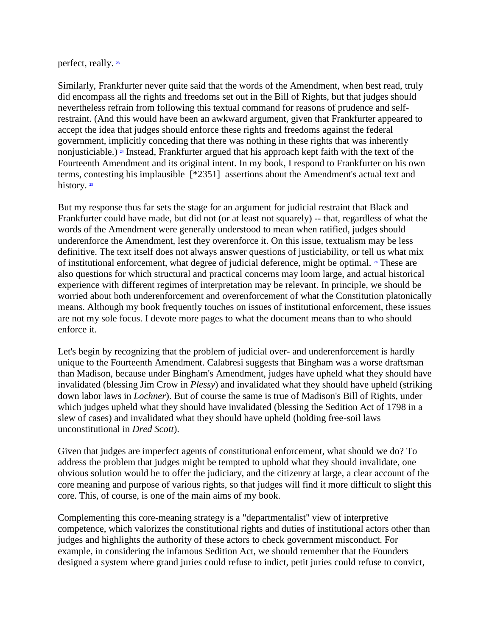perfect, really.**<sup>23</sup>**

Similarly, Frankfurter never quite said that the words of the Amendment, when best read, truly did encompass all the rights and freedoms set out in the Bill of Rights, but that judges should nevertheless refrain from following this textual command for reasons of prudence and selfrestraint. (And this would have been an awkward argument, given that Frankfurter appeared to accept the idea that judges should enforce these rights and freedoms against the federal government, implicitly conceding that there was nothing in these rights that was inherently nonjusticiable.)**<sup>24</sup>** Instead, Frankfurter argued that his approach kept faith with the text of the Fourteenth Amendment and its original intent. In my book, I respond to Frankfurter on his own terms, contesting his implausible [\*2351] assertions about the Amendment's actual text and history.<sup>25</sup>

But my response thus far sets the stage for an argument for judicial restraint that Black and Frankfurter could have made, but did not (or at least not squarely) -- that, regardless of what the words of the Amendment were generally understood to mean when ratified, judges should underenforce the Amendment, lest they overenforce it. On this issue, textualism may be less definitive. The text itself does not always answer questions of justiciability, or tell us what mix of institutional enforcement, what degree of judicial deference, might be optimal.**<sup>26</sup>** These are also questions for which structural and practical concerns may loom large, and actual historical experience with different regimes of interpretation may be relevant. In principle, we should be worried about both underenforcement and overenforcement of what the Constitution platonically means. Although my book frequently touches on issues of institutional enforcement, these issues are not my sole focus. I devote more pages to what the document means than to who should enforce it.

Let's begin by recognizing that the problem of judicial over- and underenforcement is hardly unique to the Fourteenth Amendment. Calabresi suggests that Bingham was a worse draftsman than Madison, because under Bingham's Amendment, judges have upheld what they should have invalidated (blessing Jim Crow in *Plessy*) and invalidated what they should have upheld (striking down labor laws in *Lochner*). But of course the same is true of Madison's Bill of Rights, under which judges upheld what they should have invalidated (blessing the Sedition Act of 1798 in a slew of cases) and invalidated what they should have upheld (holding free-soil laws unconstitutional in *Dred Scott*).

Given that judges are imperfect agents of constitutional enforcement, what should we do? To address the problem that judges might be tempted to uphold what they should invalidate, one obvious solution would be to offer the judiciary, and the citizenry at large, a clear account of the core meaning and purpose of various rights, so that judges will find it more difficult to slight this core. This, of course, is one of the main aims of my book.

Complementing this core-meaning strategy is a "departmentalist" view of interpretive competence, which valorizes the constitutional rights and duties of institutional actors other than judges and highlights the authority of these actors to check government misconduct. For example, in considering the infamous Sedition Act, we should remember that the Founders designed a system where grand juries could refuse to indict, petit juries could refuse to convict,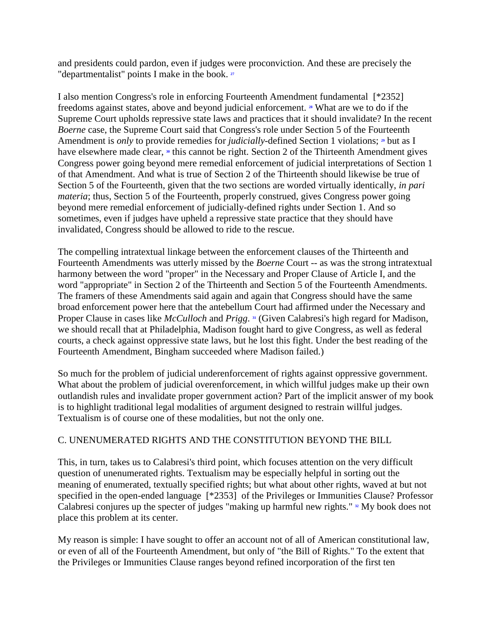and presidents could pardon, even if judges were proconviction. And these are precisely the "departmentalist" points I make in the book.**<sup>27</sup>**

I also mention Congress's role in enforcing Fourteenth Amendment fundamental [\*2352] freedoms against states, above and beyond judicial enforcement.**<sup>28</sup>** What are we to do if the Supreme Court upholds repressive state laws and practices that it should invalidate? In the recent *Boerne* case, the Supreme Court said that Congress's role under Section 5 of the Fourteenth Amendment is *only* to provide remedies for *judicially*-defined Section 1 violations;**<sup>29</sup>** but as I haveelsewhere made clear, <sup>30</sup> this cannot be right. Section 2 of the Thirteenth Amendment gives Congress power going beyond mere remedial enforcement of judicial interpretations of Section 1 of that Amendment. And what is true of Section 2 of the Thirteenth should likewise be true of Section 5 of the Fourteenth, given that the two sections are worded virtually identically, *in pari materia*; thus, Section 5 of the Fourteenth, properly construed, gives Congress power going beyond mere remedial enforcement of judicially-defined rights under Section 1. And so sometimes, even if judges have upheld a repressive state practice that they should have invalidated, Congress should be allowed to ride to the rescue.

The compelling intratextual linkage between the enforcement clauses of the Thirteenth and Fourteenth Amendments was utterly missed by the *Boerne* Court -- as was the strong intratextual harmony between the word "proper" in the Necessary and Proper Clause of Article I, and the word "appropriate" in Section 2 of the Thirteenth and Section 5 of the Fourteenth Amendments. The framers of these Amendments said again and again that Congress should have the same broad enforcement power here that the antebellum Court had affirmed under the Necessary and ProperClause in cases like *McCulloch* and *Prigg*. **31** (Given Calabresi's high regard for Madison, we should recall that at Philadelphia, Madison fought hard to give Congress, as well as federal courts, a check against oppressive state laws, but he lost this fight. Under the best reading of the Fourteenth Amendment, Bingham succeeded where Madison failed.)

So much for the problem of judicial underenforcement of rights against oppressive government. What about the problem of judicial overenforcement, in which willful judges make up their own outlandish rules and invalidate proper government action? Part of the implicit answer of my book is to highlight traditional legal modalities of argument designed to restrain willful judges. Textualism is of course one of these modalities, but not the only one.

# C. UNENUMERATED RIGHTS AND THE CONSTITUTION BEYOND THE BILL

This, in turn, takes us to Calabresi's third point, which focuses attention on the very difficult question of unenumerated rights. Textualism may be especially helpful in sorting out the meaning of enumerated, textually specified rights; but what about other rights, waved at but not specified in the open-ended language [\*2353] of the Privileges or Immunities Clause? Professor Calabresi conjures up the specter of judges "making up harmful new rights."**<sup>32</sup>** My book does not place this problem at its center.

My reason is simple: I have sought to offer an account not of all of American constitutional law, or even of all of the Fourteenth Amendment, but only of "the Bill of Rights." To the extent that the Privileges or Immunities Clause ranges beyond refined incorporation of the first ten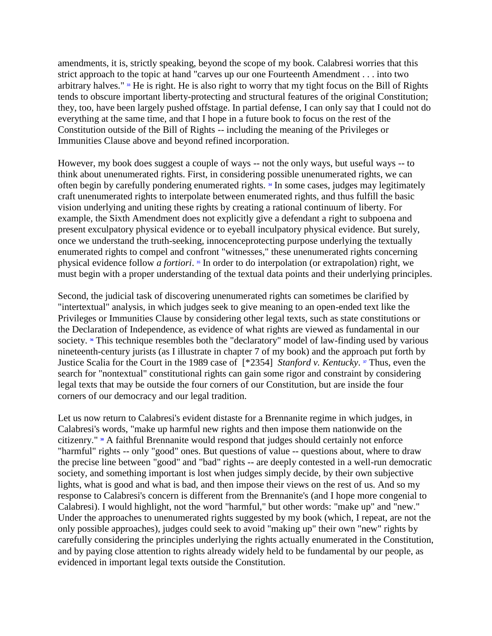amendments, it is, strictly speaking, beyond the scope of my book. Calabresi worries that this strict approach to the topic at hand "carves up our one Fourteenth Amendment . . . into two arbitrary halves."**<sup>33</sup>** He is right. He is also right to worry that my tight focus on the Bill of Rights tends to obscure important liberty-protecting and structural features of the original Constitution; they, too, have been largely pushed offstage. In partial defense, I can only say that I could not do everything at the same time, and that I hope in a future book to focus on the rest of the Constitution outside of the Bill of Rights -- including the meaning of the Privileges or Immunities Clause above and beyond refined incorporation.

However, my book does suggest a couple of ways -- not the only ways, but useful ways -- to think about unenumerated rights. First, in considering possible unenumerated rights, we can often begin by carefully pondering enumerated rights. **[34](http://www.lexis.com/research/retrieve?_m=376aa0c1188daca0661d2bb80722771b&csvc=le&cform=byCitation&_fmtstr=FULL&docnum=1&_startdoc=1&wchp=dGLbVtb-zSkAz&_md5=05f60087f440c1eaba243fa17575c8df#n34)** In some cases, judges may legitimately craft unenumerated rights to interpolate between enumerated rights, and thus fulfill the basic vision underlying and uniting these rights by creating a rational continuum of liberty. For example, the Sixth Amendment does not explicitly give a defendant a right to subpoena and present exculpatory physical evidence or to eyeball inculpatory physical evidence. But surely, once we understand the truth-seeking, innocenceprotecting purpose underlying the textually enumerated rights to compel and confront "witnesses," these unenumerated rights concerning physical evidence follow *a fortiori*. **<sup>35</sup>** In order to do interpolation (or extrapolation) right, we must begin with a proper understanding of the textual data points and their underlying principles.

Second, the judicial task of discovering unenumerated rights can sometimes be clarified by "intertextual" analysis, in which judges seek to give meaning to an open-ended text like the Privileges or Immunities Clause by considering other legal texts, such as state constitutions or the Declaration of Independence, as evidence of what rights are viewed as fundamental in our society.<sup>36</sup> This technique resembles both the "declaratory" model of law-finding used by various nineteenth-century jurists (as I illustrate in chapter 7 of my book) and the approach put forth by Justice Scalia for the Court in the 1989 case of [\*2354] *Stanford v. Kentucky*. **<sup>37</sup>** Thus, even the search for "nontextual" constitutional rights can gain some rigor and constraint by considering legal texts that may be outside the four corners of our Constitution, but are inside the four corners of our democracy and our legal tradition.

Let us now return to Calabresi's evident distaste for a Brennanite regime in which judges, in Calabresi's words, "make up harmful new rights and then impose them nationwide on the citizenry."**<sup>38</sup>** A faithful Brennanite would respond that judges should certainly not enforce "harmful" rights -- only "good" ones. But questions of value -- questions about, where to draw the precise line between "good" and "bad" rights -- are deeply contested in a well-run democratic society, and something important is lost when judges simply decide, by their own subjective lights, what is good and what is bad, and then impose their views on the rest of us. And so my response to Calabresi's concern is different from the Brennanite's (and I hope more congenial to Calabresi). I would highlight, not the word "harmful," but other words: "make up" and "new." Under the approaches to unenumerated rights suggested by my book (which, I repeat, are not the only possible approaches), judges could seek to avoid "making up" their own "new" rights by carefully considering the principles underlying the rights actually enumerated in the Constitution, and by paying close attention to rights already widely held to be fundamental by our people, as evidenced in important legal texts outside the Constitution.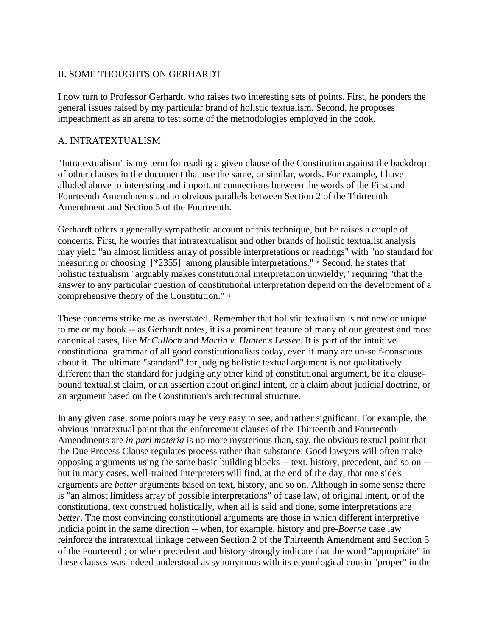## II. SOME THOUGHTS ON GERHARDT

I now turn to Professor Gerhardt, who raises two interesting sets of points. First, he ponders the general issues raised by my particular brand of holistic textualism. Second, he proposes impeachment as an arena to test some of the methodologies employed in the book.

### A. INTRATEXTUALISM

"Intratextualism" is my term for reading a given clause of the Constitution against the backdrop of other clauses in the document that use the same, or similar, words. For example, I have alluded above to interesting and important connections between the words of the First and Fourteenth Amendments and to obvious parallels between Section 2 of the Thirteenth Amendment and Section 5 of the Fourteenth.

Gerhardt offers a generally sympathetic account of this technique, but he raises a couple of concerns. First, he worries that intratextualism and other brands of holistic textualist analysis may yield "an almost limitless array of possible interpretations or readings" with "no standard for measuring or choosing [\*2355] among plausible interpretations."**<sup>39</sup>** Second, he states that holistic textualism "arguably makes constitutional interpretation unwieldy," requiring "that the answer to any particular question of constitutional interpretation depend on the development of a comprehensive theory of the Constitution."**<sup>40</sup>**

These concerns strike me as overstated. Remember that holistic textualism is not new or unique to me or my book -- as Gerhardt notes, it is a prominent feature of many of our greatest and most canonical cases, like *McCulloch* and *Martin v. Hunter's Lessee*. It is part of the intuitive constitutional grammar of all good constitutionalists today, even if many are un-self-conscious about it. The ultimate "standard" for judging holistic textual argument is not qualitatively different than the standard for judging any other kind of constitutional argument, be it a clausebound textualist claim, or an assertion about original intent, or a claim about judicial doctrine, or an argument based on the Constitution's architectural structure.

In any given case, some points may be very easy to see, and rather significant. For example, the obvious intratextual point that the enforcement clauses of the Thirteenth and Fourteenth Amendments are *in pari materia* is no more mysterious than, say, the obvious textual point that the Due Process Clause regulates process rather than substance. Good lawyers will often make opposing arguments using the same basic building blocks -- text, history, precedent, and so on - but in many cases, well-trained interpreters will find, at the end of the day, that one side's arguments are *better* arguments based on text, history, and so on. Although in some sense there is "an almost limitless array of possible interpretations" of case law, of original intent, or of the constitutional text construed holistically, when all is said and done, some interpretations are *better*. The most convincing constitutional arguments are those in which different interpretive indicia point in the same direction -- when, for example, history and pre-*Boerne* case law reinforce the intratextual linkage between Section 2 of the Thirteenth Amendment and Section 5 of the Fourteenth; or when precedent and history strongly indicate that the word "appropriate" in these clauses was indeed understood as synonymous with its etymological cousin "proper" in the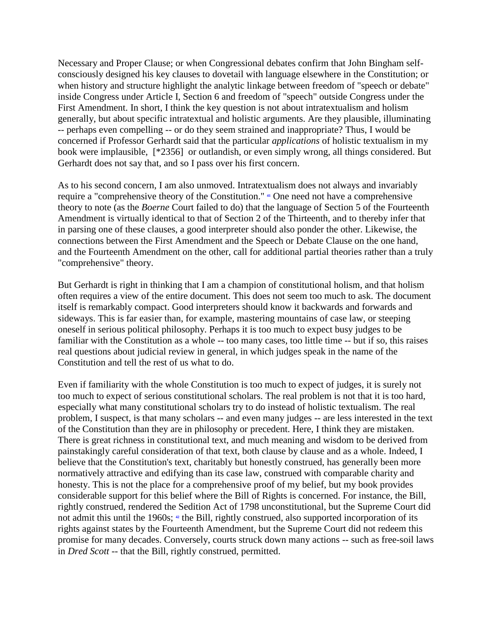Necessary and Proper Clause; or when Congressional debates confirm that John Bingham selfconsciously designed his key clauses to dovetail with language elsewhere in the Constitution; or when history and structure highlight the analytic linkage between freedom of "speech or debate" inside Congress under Article I, Section 6 and freedom of "speech" outside Congress under the First Amendment. In short, I think the key question is not about intratextualism and holism generally, but about specific intratextual and holistic arguments. Are they plausible, illuminating -- perhaps even compelling -- or do they seem strained and inappropriate? Thus, I would be concerned if Professor Gerhardt said that the particular *applications* of holistic textualism in my book were implausible, [\*2356] or outlandish, or even simply wrong, all things considered. But Gerhardt does not say that, and so I pass over his first concern.

As to his second concern, I am also unmoved. Intratextualism does not always and invariably require a "comprehensive theory of the Constitution."**<sup>41</sup>** One need not have a comprehensive theory to note (as the *Boerne* Court failed to do) that the language of Section 5 of the Fourteenth Amendment is virtually identical to that of Section 2 of the Thirteenth, and to thereby infer that in parsing one of these clauses, a good interpreter should also ponder the other. Likewise, the connections between the First Amendment and the Speech or Debate Clause on the one hand, and the Fourteenth Amendment on the other, call for additional partial theories rather than a truly "comprehensive" theory.

But Gerhardt is right in thinking that I am a champion of constitutional holism, and that holism often requires a view of the entire document. This does not seem too much to ask. The document itself is remarkably compact. Good interpreters should know it backwards and forwards and sideways. This is far easier than, for example, mastering mountains of case law, or steeping oneself in serious political philosophy. Perhaps it is too much to expect busy judges to be familiar with the Constitution as a whole -- too many cases, too little time -- but if so, this raises real questions about judicial review in general, in which judges speak in the name of the Constitution and tell the rest of us what to do.

Even if familiarity with the whole Constitution is too much to expect of judges, it is surely not too much to expect of serious constitutional scholars. The real problem is not that it is too hard, especially what many constitutional scholars try to do instead of holistic textualism. The real problem, I suspect, is that many scholars -- and even many judges -- are less interested in the text of the Constitution than they are in philosophy or precedent. Here, I think they are mistaken. There is great richness in constitutional text, and much meaning and wisdom to be derived from painstakingly careful consideration of that text, both clause by clause and as a whole. Indeed, I believe that the Constitution's text, charitably but honestly construed, has generally been more normatively attractive and edifying than its case law, construed with comparable charity and honesty. This is not the place for a comprehensive proof of my belief, but my book provides considerable support for this belief where the Bill of Rights is concerned. For instance, the Bill, rightly construed, rendered the Sedition Act of 1798 unconstitutional, but the Supreme Court did notadmit this until the 1960s;  $\cdot$  the Bill, rightly construed, also supported incorporation of its rights against states by the Fourteenth Amendment, but the Supreme Court did not redeem this promise for many decades. Conversely, courts struck down many actions -- such as free-soil laws in *Dred Scott* -- that the Bill, rightly construed, permitted.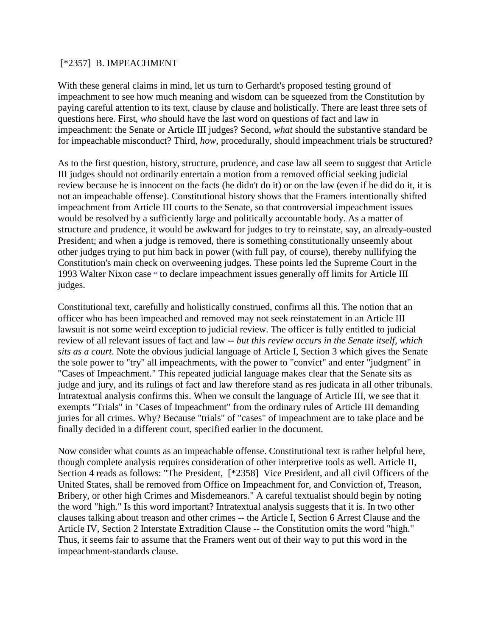### [\*2357] B. IMPEACHMENT

With these general claims in mind, let us turn to Gerhardt's proposed testing ground of impeachment to see how much meaning and wisdom can be squeezed from the Constitution by paying careful attention to its text, clause by clause and holistically. There are least three sets of questions here. First, *who* should have the last word on questions of fact and law in impeachment: the Senate or Article III judges? Second, *what* should the substantive standard be for impeachable misconduct? Third, *how*, procedurally, should impeachment trials be structured?

As to the first question, history, structure, prudence, and case law all seem to suggest that Article III judges should not ordinarily entertain a motion from a removed official seeking judicial review because he is innocent on the facts (he didn't do it) or on the law (even if he did do it, it is not an impeachable offense). Constitutional history shows that the Framers intentionally shifted impeachment from Article III courts to the Senate, so that controversial impeachment issues would be resolved by a sufficiently large and politically accountable body. As a matter of structure and prudence, it would be awkward for judges to try to reinstate, say, an already-ousted President; and when a judge is removed, there is something constitutionally unseemly about other judges trying to put him back in power (with full pay, of course), thereby nullifying the Constitution's main check on overweening judges. These points led the Supreme Court in the 1993 Walter Nixon case**<sup>43</sup>** to declare impeachment issues generally off limits for Article III judges.

Constitutional text, carefully and holistically construed, confirms all this. The notion that an officer who has been impeached and removed may not seek reinstatement in an Article III lawsuit is not some weird exception to judicial review. The officer is fully entitled to judicial review of all relevant issues of fact and law -- *but this review occurs in the Senate itself, which sits as a court*. Note the obvious judicial language of Article I, Section 3 which gives the Senate the sole power to "try" all impeachments, with the power to "convict" and enter "judgment" in "Cases of Impeachment." This repeated judicial language makes clear that the Senate sits as judge and jury, and its rulings of fact and law therefore stand as res judicata in all other tribunals. Intratextual analysis confirms this. When we consult the language of Article III, we see that it exempts "Trials" in "Cases of Impeachment" from the ordinary rules of Article III demanding juries for all crimes. Why? Because "trials" of "cases" of impeachment are to take place and be finally decided in a different court, specified earlier in the document.

Now consider what counts as an impeachable offense. Constitutional text is rather helpful here, though complete analysis requires consideration of other interpretive tools as well. Article II, Section 4 reads as follows: "The President, [\*2358] Vice President, and all civil Officers of the United States, shall be removed from Office on Impeachment for, and Conviction of, Treason, Bribery, or other high Crimes and Misdemeanors." A careful textualist should begin by noting the word "high." Is this word important? Intratextual analysis suggests that it is. In two other clauses talking about treason and other crimes -- the Article I, Section 6 Arrest Clause and the Article IV, Section 2 Interstate Extradition Clause -- the Constitution omits the word "high." Thus, it seems fair to assume that the Framers went out of their way to put this word in the impeachment-standards clause.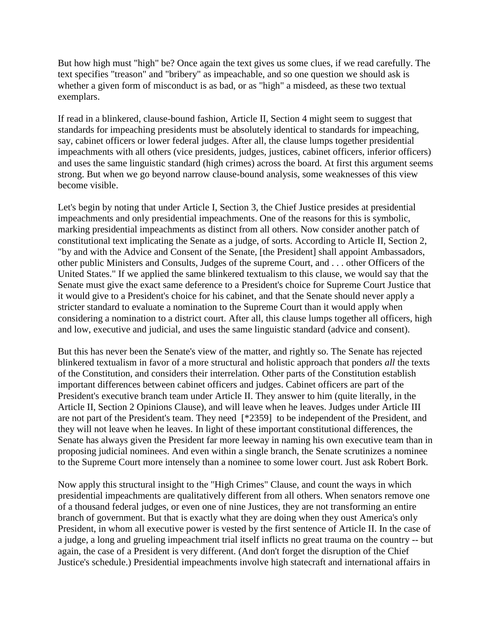But how high must "high" be? Once again the text gives us some clues, if we read carefully. The text specifies "treason" and "bribery" as impeachable, and so one question we should ask is whether a given form of misconduct is as bad, or as "high" a misdeed, as these two textual exemplars.

If read in a blinkered, clause-bound fashion, Article II, Section 4 might seem to suggest that standards for impeaching presidents must be absolutely identical to standards for impeaching, say, cabinet officers or lower federal judges. After all, the clause lumps together presidential impeachments with all others (vice presidents, judges, justices, cabinet officers, inferior officers) and uses the same linguistic standard (high crimes) across the board. At first this argument seems strong. But when we go beyond narrow clause-bound analysis, some weaknesses of this view become visible.

Let's begin by noting that under Article I, Section 3, the Chief Justice presides at presidential impeachments and only presidential impeachments. One of the reasons for this is symbolic, marking presidential impeachments as distinct from all others. Now consider another patch of constitutional text implicating the Senate as a judge, of sorts. According to Article II, Section 2, "by and with the Advice and Consent of the Senate, [the President] shall appoint Ambassadors, other public Ministers and Consults, Judges of the supreme Court, and . . . other Officers of the United States." If we applied the same blinkered textualism to this clause, we would say that the Senate must give the exact same deference to a President's choice for Supreme Court Justice that it would give to a President's choice for his cabinet, and that the Senate should never apply a stricter standard to evaluate a nomination to the Supreme Court than it would apply when considering a nomination to a district court. After all, this clause lumps together all officers, high and low, executive and judicial, and uses the same linguistic standard (advice and consent).

But this has never been the Senate's view of the matter, and rightly so. The Senate has rejected blinkered textualism in favor of a more structural and holistic approach that ponders *all* the texts of the Constitution, and considers their interrelation. Other parts of the Constitution establish important differences between cabinet officers and judges. Cabinet officers are part of the President's executive branch team under Article II. They answer to him (quite literally, in the Article II, Section 2 Opinions Clause), and will leave when he leaves. Judges under Article III are not part of the President's team. They need [\*2359] to be independent of the President, and they will not leave when he leaves. In light of these important constitutional differences, the Senate has always given the President far more leeway in naming his own executive team than in proposing judicial nominees. And even within a single branch, the Senate scrutinizes a nominee to the Supreme Court more intensely than a nominee to some lower court. Just ask Robert Bork.

Now apply this structural insight to the "High Crimes" Clause, and count the ways in which presidential impeachments are qualitatively different from all others. When senators remove one of a thousand federal judges, or even one of nine Justices, they are not transforming an entire branch of government. But that is exactly what they are doing when they oust America's only President, in whom all executive power is vested by the first sentence of Article II. In the case of a judge, a long and grueling impeachment trial itself inflicts no great trauma on the country -- but again, the case of a President is very different. (And don't forget the disruption of the Chief Justice's schedule.) Presidential impeachments involve high statecraft and international affairs in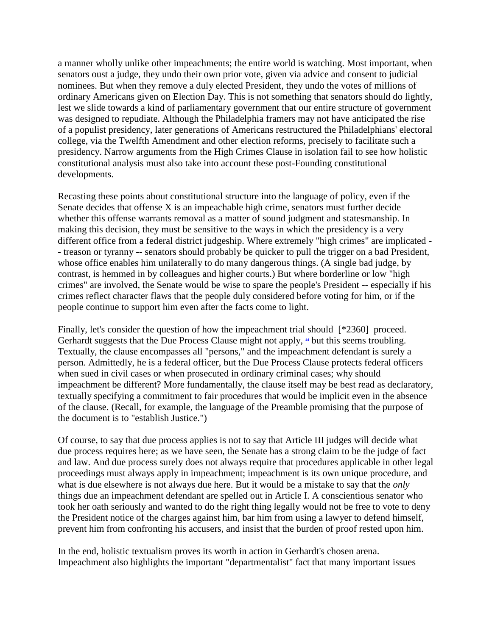a manner wholly unlike other impeachments; the entire world is watching. Most important, when senators oust a judge, they undo their own prior vote, given via advice and consent to judicial nominees. But when they remove a duly elected President, they undo the votes of millions of ordinary Americans given on Election Day. This is not something that senators should do lightly, lest we slide towards a kind of parliamentary government that our entire structure of government was designed to repudiate. Although the Philadelphia framers may not have anticipated the rise of a populist presidency, later generations of Americans restructured the Philadelphians' electoral college, via the Twelfth Amendment and other election reforms, precisely to facilitate such a presidency. Narrow arguments from the High Crimes Clause in isolation fail to see how holistic constitutional analysis must also take into account these post-Founding constitutional developments.

Recasting these points about constitutional structure into the language of policy, even if the Senate decides that offense X is an impeachable high crime, senators must further decide whether this offense warrants removal as a matter of sound judgment and statesmanship. In making this decision, they must be sensitive to the ways in which the presidency is a very different office from a federal district judgeship. Where extremely "high crimes" are implicated - - treason or tyranny -- senators should probably be quicker to pull the trigger on a bad President, whose office enables him unilaterally to do many dangerous things. (A single bad judge, by contrast, is hemmed in by colleagues and higher courts.) But where borderline or low "high crimes" are involved, the Senate would be wise to spare the people's President -- especially if his crimes reflect character flaws that the people duly considered before voting for him, or if the people continue to support him even after the facts come to light.

Finally, let's consider the question of how the impeachment trial should [\*2360] proceed. Gerhardtsuggests that the Due Process Clause might not apply,  $\ast$  but this seems troubling. Textually, the clause encompasses all "persons," and the impeachment defendant is surely a person. Admittedly, he is a federal officer, but the Due Process Clause protects federal officers when sued in civil cases or when prosecuted in ordinary criminal cases; why should impeachment be different? More fundamentally, the clause itself may be best read as declaratory, textually specifying a commitment to fair procedures that would be implicit even in the absence of the clause. (Recall, for example, the language of the Preamble promising that the purpose of the document is to "establish Justice.")

Of course, to say that due process applies is not to say that Article III judges will decide what due process requires here; as we have seen, the Senate has a strong claim to be the judge of fact and law. And due process surely does not always require that procedures applicable in other legal proceedings must always apply in impeachment; impeachment is its own unique procedure, and what is due elsewhere is not always due here. But it would be a mistake to say that the *only* things due an impeachment defendant are spelled out in Article I. A conscientious senator who took her oath seriously and wanted to do the right thing legally would not be free to vote to deny the President notice of the charges against him, bar him from using a lawyer to defend himself, prevent him from confronting his accusers, and insist that the burden of proof rested upon him.

In the end, holistic textualism proves its worth in action in Gerhardt's chosen arena. Impeachment also highlights the important "departmentalist" fact that many important issues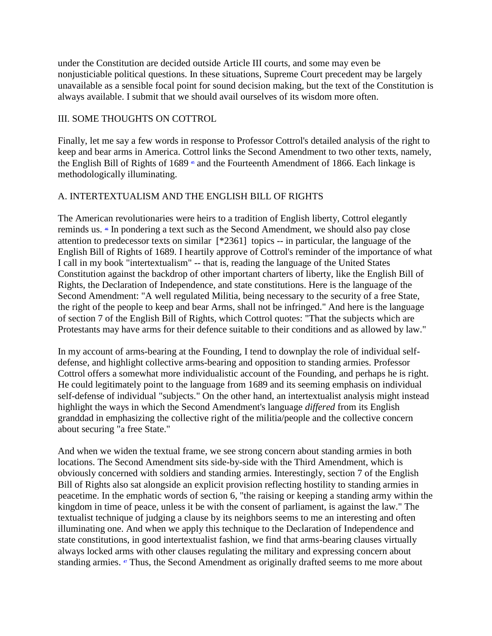under the Constitution are decided outside Article III courts, and some may even be nonjusticiable political questions. In these situations, Supreme Court precedent may be largely unavailable as a sensible focal point for sound decision making, but the text of the Constitution is always available. I submit that we should avail ourselves of its wisdom more often.

# III. SOME THOUGHTS ON COTTROL

Finally, let me say a few words in response to Professor Cottrol's detailed analysis of the right to keep and bear arms in America. Cottrol links the Second Amendment to two other texts, namely, theEnglish Bill of Rights of 1689<sup>**s**</sup> and the Fourteenth Amendment of 1866. Each linkage is methodologically illuminating.

# A. INTERTEXTUALISM AND THE ENGLISH BILL OF RIGHTS

The American revolutionaries were heirs to a tradition of English liberty, Cottrol elegantly reminds us.**<sup>46</sup>** In pondering a text such as the Second Amendment, we should also pay close attention to predecessor texts on similar [\*2361] topics -- in particular, the language of the English Bill of Rights of 1689. I heartily approve of Cottrol's reminder of the importance of what I call in my book "intertextualism" -- that is, reading the language of the United States Constitution against the backdrop of other important charters of liberty, like the English Bill of Rights, the Declaration of Independence, and state constitutions. Here is the language of the Second Amendment: "A well regulated Militia, being necessary to the security of a free State, the right of the people to keep and bear Arms, shall not be infringed." And here is the language of section 7 of the English Bill of Rights, which Cottrol quotes: "That the subjects which are Protestants may have arms for their defence suitable to their conditions and as allowed by law."

In my account of arms-bearing at the Founding, I tend to downplay the role of individual selfdefense, and highlight collective arms-bearing and opposition to standing armies. Professor Cottrol offers a somewhat more individualistic account of the Founding, and perhaps he is right. He could legitimately point to the language from 1689 and its seeming emphasis on individual self-defense of individual "subjects." On the other hand, an intertextualist analysis might instead highlight the ways in which the Second Amendment's language *differed* from its English granddad in emphasizing the collective right of the militia/people and the collective concern about securing "a free State."

And when we widen the textual frame, we see strong concern about standing armies in both locations. The Second Amendment sits side-by-side with the Third Amendment, which is obviously concerned with soldiers and standing armies. Interestingly, section 7 of the English Bill of Rights also sat alongside an explicit provision reflecting hostility to standing armies in peacetime. In the emphatic words of section 6, "the raising or keeping a standing army within the kingdom in time of peace, unless it be with the consent of parliament, is against the law." The textualist technique of judging a clause by its neighbors seems to me an interesting and often illuminating one. And when we apply this technique to the Declaration of Independence and state constitutions, in good intertextualist fashion, we find that arms-bearing clauses virtually always locked arms with other clauses regulating the military and expressing concern about standing armies.**<sup>47</sup>** Thus, the Second Amendment as originally drafted seems to me more about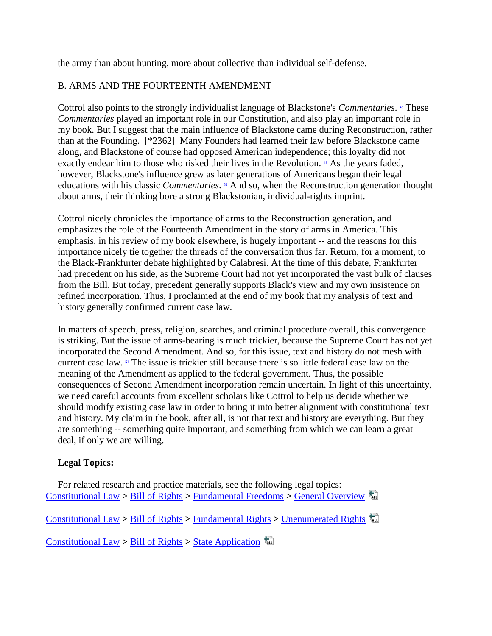the army than about hunting, more about collective than individual self-defense.

## B. ARMS AND THE FOURTEENTH AMENDMENT

Cottrolalso points to the strongly individualist language of Blackstone's *Commentaries*. <sup>\*</sup> These *Commentaries* played an important role in our Constitution, and also play an important role in my book. But I suggest that the main influence of Blackstone came during Reconstruction, rather than at the Founding. [\*2362] Many Founders had learned their law before Blackstone came along, and Blackstone of course had opposed American independence; this loyalty did not exactlyendear him to those who risked their lives in the Revolution.  $\bullet$  As the years faded, however, Blackstone's influence grew as later generations of Americans began their legal educationswith his classic *Commentaries*. <sup>•</sup> And so, when the Reconstruction generation thought about arms, their thinking bore a strong Blackstonian, individual-rights imprint.

Cottrol nicely chronicles the importance of arms to the Reconstruction generation, and emphasizes the role of the Fourteenth Amendment in the story of arms in America. This emphasis, in his review of my book elsewhere, is hugely important -- and the reasons for this importance nicely tie together the threads of the conversation thus far. Return, for a moment, to the Black-Frankfurter debate highlighted by Calabresi. At the time of this debate, Frankfurter had precedent on his side, as the Supreme Court had not yet incorporated the vast bulk of clauses from the Bill. But today, precedent generally supports Black's view and my own insistence on refined incorporation. Thus, I proclaimed at the end of my book that my analysis of text and history generally confirmed current case law.

In matters of speech, press, religion, searches, and criminal procedure overall, this convergence is striking. But the issue of arms-bearing is much trickier, because the Supreme Court has not yet incorporated the Second Amendment. And so, for this issue, text and history do not mesh with current case law.**<sup>51</sup>** The issue is trickier still because there is so little federal case law on the meaning of the Amendment as applied to the federal government. Thus, the possible consequences of Second Amendment incorporation remain uncertain. In light of this uncertainty, we need careful accounts from excellent scholars like Cottrol to help us decide whether we should modify existing case law in order to bring it into better alignment with constitutional text and history. My claim in the book, after all, is not that text and history are everything. But they are something -- something quite important, and something from which we can learn a great deal, if only we are willing.

# **Legal Topics:**

For related research and practice materials, see the following legal topics: [Constitutional Law](http://w3.lexis.com/research2/lt/topics/tocdisplay.do?_m=cc550e8a68484defbf70d3f1ff6b8300&sub=00000556&satocOpen=00000556&HNTrail=1&_fmtstr=FULL&docnum=1&_startdoc=1&wchp=dGLbVtb-zSkAz&_md5=6640e31aeced9b904cfc5d78a151cabe) **>** [Bill of Rights](http://w3.lexis.com/research2/lt/topics/tocdisplay.do?_m=cc550e8a68484defbf70d3f1ff6b8300&sub=00000556&satocOpen=00000556%2c00010960&HNTrail=1&_fmtstr=FULL&docnum=1&_startdoc=1&wchp=dGLbVtb-zSkAz&_md5=6640e31aeced9b904cfc5d78a151cabe) **>** [Fundamental Freedoms](http://w3.lexis.com/research2/lt/topics/tocdisplay.do?_m=cc550e8a68484defbf70d3f1ff6b8300&sub=00000556&satocOpen=00000556%2c00010960%2c00010961&HNTrail=1&_fmtstr=FULL&docnum=1&_startdoc=1&wchp=dGLbVtb-zSkAz&_md5=6640e31aeced9b904cfc5d78a151cabe) **>** [General Overview](http://w3.lexis.com/research2/lt/topics/tocdisplay.do?_m=cc550e8a68484defbf70d3f1ff6b8300&sub=00000556&satocOpen=00000556%2c00010960%2c00010961%2c00010961&HNTrail=1&_fmtstr=FULL&docnum=1&_startdoc=1&wchp=dGLbVtb-zSkAz&_md5=6640e31aeced9b904cfc5d78a151cabe)

[Constitutional Law](http://w3.lexis.com/research2/lt/topics/tocdisplay.do?_m=cc550e8a68484defbf70d3f1ff6b8300&sub=00000556&satocOpen=00000556&HNTrail=1&_fmtstr=FULL&docnum=1&_startdoc=1&wchp=dGLbVtb-zSkAz&_md5=6640e31aeced9b904cfc5d78a151cabe) **>** [Bill of Rights](http://w3.lexis.com/research2/lt/topics/tocdisplay.do?_m=cc550e8a68484defbf70d3f1ff6b8300&sub=00000556&satocOpen=00000556%2c00010960&HNTrail=1&_fmtstr=FULL&docnum=1&_startdoc=1&wchp=dGLbVtb-zSkAz&_md5=6640e31aeced9b904cfc5d78a151cabe) **>** [Fundamental Rights](http://w3.lexis.com/research2/lt/topics/tocdisplay.do?_m=cc550e8a68484defbf70d3f1ff6b8300&sub=00000556&satocOpen=00000556%2c00010960%2c00010980&HNTrail=1&_fmtstr=FULL&docnum=1&_startdoc=1&wchp=dGLbVtb-zSkAz&_md5=6640e31aeced9b904cfc5d78a151cabe) **>** [Unenumerated Rights](http://w3.lexis.com/research2/lt/topics/tocdisplay.do?_m=cc550e8a68484defbf70d3f1ff6b8300&sub=00000556&satocOpen=00000556%2c00010960%2c00010980%2c00010980&HNTrail=1&_fmtstr=FULL&docnum=1&_startdoc=1&wchp=dGLbVtb-zSkAz&_md5=6640e31aeced9b904cfc5d78a151cabe)

[Constitutional Law](http://w3.lexis.com/research2/lt/topics/tocdisplay.do?_m=cc550e8a68484defbf70d3f1ff6b8300&sub=00000556&satocOpen=00000556&HNTrail=1&_fmtstr=FULL&docnum=1&_startdoc=1&wchp=dGLbVtb-zSkAz&_md5=6640e31aeced9b904cfc5d78a151cabe) **>** [Bill of Rights](http://w3.lexis.com/research2/lt/topics/tocdisplay.do?_m=cc550e8a68484defbf70d3f1ff6b8300&sub=00000556&satocOpen=00000556%2c00010960&HNTrail=1&_fmtstr=FULL&docnum=1&_startdoc=1&wchp=dGLbVtb-zSkAz&_md5=6640e31aeced9b904cfc5d78a151cabe) **>** [State Application](http://w3.lexis.com/research2/lt/topics/tocdisplay.do?_m=cc550e8a68484defbf70d3f1ff6b8300&sub=00000556&satocOpen=00000556%2c00010960%2c00010960&HNTrail=1&_fmtstr=FULL&docnum=1&_startdoc=1&wchp=dGLbVtb-zSkAz&_md5=6640e31aeced9b904cfc5d78a151cabe)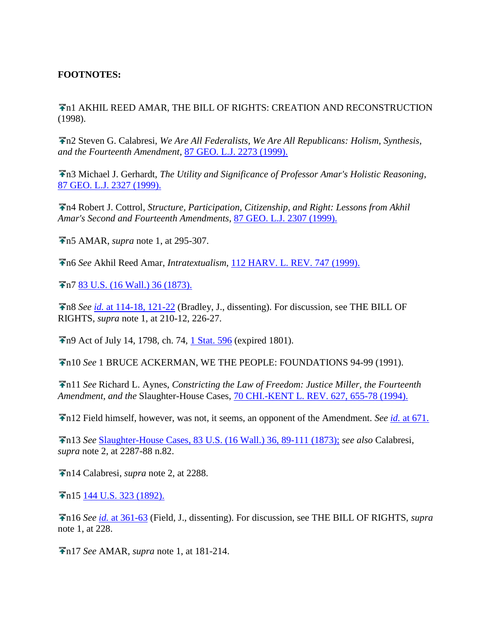## **FOOTNOTES:**

n1 AKHIL REED AMAR, THE BILL OF RIGHTS: CREATION AND RECONSTRUCTION (1998).

n2 Steven G. Calabresi, *We Are All Federalists, We Are All Republicans: Holism, Synthesis, and the Fourteenth Amendment*, [87 GEO. L.J. 2273 \(1999\).](http://www.lexis.com/research/buttonTFLink?_m=cc550e8a68484defbf70d3f1ff6b8300&_xfercite=%3ccite%20cc%3d%22USA%22%3e%3c%21%5bCDATA%5b87%20Geo.%20L.J.%202347%5d%5d%3e%3c%2fcite%3e&_butType=3&_butStat=2&_butNum=53&_butInline=1&_butinfo=%3ccite%20cc%3d%22USA%22%3e%3c%21%5bCDATA%5b87%20Geo.%20L.J.%202273%5d%5d%3e%3c%2fcite%3e&_fmtstr=FULL&docnum=1&_startdoc=1&wchp=dGLbVtb-zSkAz&_md5=08a1665404492b955cd13314b11310ca)

n3 Michael J. Gerhardt, *The Utility and Significance of Professor Amar's Holistic Reasoning*, [87 GEO. L.J. 2327 \(1999\).](http://www.lexis.com/research/buttonTFLink?_m=cc550e8a68484defbf70d3f1ff6b8300&_xfercite=%3ccite%20cc%3d%22USA%22%3e%3c%21%5bCDATA%5b87%20Geo.%20L.J.%202347%5d%5d%3e%3c%2fcite%3e&_butType=3&_butStat=2&_butNum=54&_butInline=1&_butinfo=%3ccite%20cc%3d%22USA%22%3e%3c%21%5bCDATA%5b87%20Geo.%20L.J.%202327%5d%5d%3e%3c%2fcite%3e&_fmtstr=FULL&docnum=1&_startdoc=1&wchp=dGLbVtb-zSkAz&_md5=fc3ece2ae254dd7caa7722309a769abf)

n4 Robert J. Cottrol, *Structure, Participation, Citizenship, and Right: Lessons from Akhil Amar's Second and Fourteenth Amendments*, [87 GEO. L.J. 2307 \(1999\).](http://www.lexis.com/research/buttonTFLink?_m=cc550e8a68484defbf70d3f1ff6b8300&_xfercite=%3ccite%20cc%3d%22USA%22%3e%3c%21%5bCDATA%5b87%20Geo.%20L.J.%202347%5d%5d%3e%3c%2fcite%3e&_butType=3&_butStat=2&_butNum=55&_butInline=1&_butinfo=%3ccite%20cc%3d%22USA%22%3e%3c%21%5bCDATA%5b87%20Geo.%20L.J.%202307%5d%5d%3e%3c%2fcite%3e&_fmtstr=FULL&docnum=1&_startdoc=1&wchp=dGLbVtb-zSkAz&_md5=fbdf3188ed56d0523d909cfc099712fc)

n5 AMAR, *supra* note 1, at 295-307.

n6 *See* Akhil Reed Amar, *Intratextualism*, [112 HARV. L. REV. 747 \(1999\).](http://www.lexis.com/research/buttonTFLink?_m=cc550e8a68484defbf70d3f1ff6b8300&_xfercite=%3ccite%20cc%3d%22USA%22%3e%3c%21%5bCDATA%5b87%20Geo.%20L.J.%202347%5d%5d%3e%3c%2fcite%3e&_butType=3&_butStat=2&_butNum=56&_butInline=1&_butinfo=%3ccite%20cc%3d%22USA%22%3e%3c%21%5bCDATA%5b112%20Harv.%20L.%20Rev.%20747%5d%5d%3e%3c%2fcite%3e&_fmtstr=FULL&docnum=1&_startdoc=1&wchp=dGLbVtb-zSkAz&_md5=c5dda2cda38d582c71bb39af84c7c2f6)

n7 [83 U.S. \(16 Wall.\) 36 \(1873\).](http://www.lexis.com/research/buttonTFLink?_m=cc550e8a68484defbf70d3f1ff6b8300&_xfercite=%3ccite%20cc%3d%22USA%22%3e%3c%21%5bCDATA%5b87%20Geo.%20L.J.%202347%5d%5d%3e%3c%2fcite%3e&_butType=3&_butStat=2&_butNum=57&_butInline=1&_butinfo=%3ccite%20cc%3d%22USA%22%3e%3c%21%5bCDATA%5b83%20U.S.%2036%5d%5d%3e%3c%2fcite%3e&_fmtstr=FULL&docnum=1&_startdoc=1&wchp=dGLbVtb-zSkAz&_md5=c7afd03638b2554bd9085f6dcf3de1bf)

n8 *See id.* [at 114-18, 121-22](http://www.lexis.com/research/buttonTFLink?_m=cc550e8a68484defbf70d3f1ff6b8300&_xfercite=%3ccite%20cc%3d%22USA%22%3e%3c%21%5bCDATA%5b87%20Geo.%20L.J.%202347%5d%5d%3e%3c%2fcite%3e&_butType=3&_butStat=2&_butNum=58&_butInline=1&_butinfo=%3ccite%20cc%3d%22USA%22%3e%3c%21%5bCDATA%5b83%20U.S.%2036%2cat%20114%5d%5d%3e%3c%2fcite%3e&_fmtstr=FULL&docnum=1&_startdoc=1&wchp=dGLbVtb-zSkAz&_md5=6f23aea953f327ed9dc6957d5cb64b49) (Bradley, J., dissenting). For discussion, see THE BILL OF RIGHTS, *supra* note 1, at 210-12, 226-27.

**F**n9 Act of July 14, 1798, ch. 74, [1 Stat. 596](http://www.lexis.com/research/buttonTFLink?_m=cc550e8a68484defbf70d3f1ff6b8300&_xfercite=%3ccite%20cc%3d%22USA%22%3e%3c%21%5bCDATA%5b87%20Geo.%20L.J.%202347%5d%5d%3e%3c%2fcite%3e&_butType=3&_butStat=2&_butNum=59&_butInline=1&_butinfo=%3ccite%20cc%3d%22USA%22%3e%3c%21%5bCDATA%5b1%20Stat.%20596%5d%5d%3e%3c%2fcite%3e&_fmtstr=FULL&docnum=1&_startdoc=1&wchp=dGLbVtb-zSkAz&_md5=03802d72d4f18883f2834cee32607407) (expired 1801).

n10 *See* 1 BRUCE ACKERMAN, WE THE PEOPLE: FOUNDATIONS 94-99 (1991).

n11 *See* Richard L. Aynes, *Constricting the Law of Freedom: Justice Miller, the Fourteenth Amendment, and the* Slaughter-House Cases, [70 CHI.-KENT L. REV. 627, 655-78 \(1994\).](http://www.lexis.com/research/buttonTFLink?_m=cc550e8a68484defbf70d3f1ff6b8300&_xfercite=%3ccite%20cc%3d%22USA%22%3e%3c%21%5bCDATA%5b87%20Geo.%20L.J.%202347%5d%5d%3e%3c%2fcite%3e&_butType=3&_butStat=2&_butNum=60&_butInline=1&_butinfo=%3ccite%20cc%3d%22USA%22%3e%3c%21%5bCDATA%5b70%20Chi.-Kent%20L.%20Rev.%20627%2cat%20655%5d%5d%3e%3c%2fcite%3e&_fmtstr=FULL&docnum=1&_startdoc=1&wchp=dGLbVtb-zSkAz&_md5=50c4e366070f5d844158bbae00c0a90a)

n12 Field himself, however, was not, it seems, an opponent of the Amendment. *See id.* [at 671.](http://www.lexis.com/research/buttonTFLink?_m=cc550e8a68484defbf70d3f1ff6b8300&_xfercite=%3ccite%20cc%3d%22USA%22%3e%3c%21%5bCDATA%5b87%20Geo.%20L.J.%202347%5d%5d%3e%3c%2fcite%3e&_butType=3&_butStat=2&_butNum=61&_butInline=1&_butinfo=%3ccite%20cc%3d%22USA%22%3e%3c%21%5bCDATA%5b70%20Chi.-Kent%20L.%20Rev.%20627%2cat%20671%5d%5d%3e%3c%2fcite%3e&_fmtstr=FULL&docnum=1&_startdoc=1&wchp=dGLbVtb-zSkAz&_md5=6c09bba412afa990aaa7eae272455a9e)

n13 *See* [Slaughter-House Cases, 83 U.S. \(16 Wall.\) 36, 89-111 \(1873\);](http://www.lexis.com/research/buttonTFLink?_m=cc550e8a68484defbf70d3f1ff6b8300&_xfercite=%3ccite%20cc%3d%22USA%22%3e%3c%21%5bCDATA%5b87%20Geo.%20L.J.%202347%5d%5d%3e%3c%2fcite%3e&_butType=3&_butStat=2&_butNum=62&_butInline=1&_butinfo=%3ccite%20cc%3d%22USA%22%3e%3c%21%5bCDATA%5b83%20U.S.%2036%2cat%2089%5d%5d%3e%3c%2fcite%3e&_fmtstr=FULL&docnum=1&_startdoc=1&wchp=dGLbVtb-zSkAz&_md5=a242903c488f0fd807dba07bfcfc0135) *see also* Calabresi, *supra* note 2, at 2287-88 n.82.

n14 Calabresi, *supra* note 2, at 2288.

**F**n15 [144 U.S. 323 \(1892\).](http://www.lexis.com/research/buttonTFLink?_m=cc550e8a68484defbf70d3f1ff6b8300&_xfercite=%3ccite%20cc%3d%22USA%22%3e%3c%21%5bCDATA%5b87%20Geo.%20L.J.%202347%5d%5d%3e%3c%2fcite%3e&_butType=3&_butStat=2&_butNum=63&_butInline=1&_butinfo=%3ccite%20cc%3d%22USA%22%3e%3c%21%5bCDATA%5b144%20U.S.%20323%5d%5d%3e%3c%2fcite%3e&_fmtstr=FULL&docnum=1&_startdoc=1&wchp=dGLbVtb-zSkAz&_md5=ce5093cb11737ab733f16c58b028afa0)

n16 *See id.* [at 361-63](http://www.lexis.com/research/buttonTFLink?_m=cc550e8a68484defbf70d3f1ff6b8300&_xfercite=%3ccite%20cc%3d%22USA%22%3e%3c%21%5bCDATA%5b87%20Geo.%20L.J.%202347%5d%5d%3e%3c%2fcite%3e&_butType=3&_butStat=2&_butNum=64&_butInline=1&_butinfo=%3ccite%20cc%3d%22USA%22%3e%3c%21%5bCDATA%5b144%20U.S.%20323%2cat%20361%5d%5d%3e%3c%2fcite%3e&_fmtstr=FULL&docnum=1&_startdoc=1&wchp=dGLbVtb-zSkAz&_md5=817cdc9f5df737b5299d9ded7642d542) (Field, J., dissenting). For discussion, see THE BILL OF RIGHTS, *supra* note 1, at 228.

n17 *See* AMAR, *supra* note 1, at 181-214.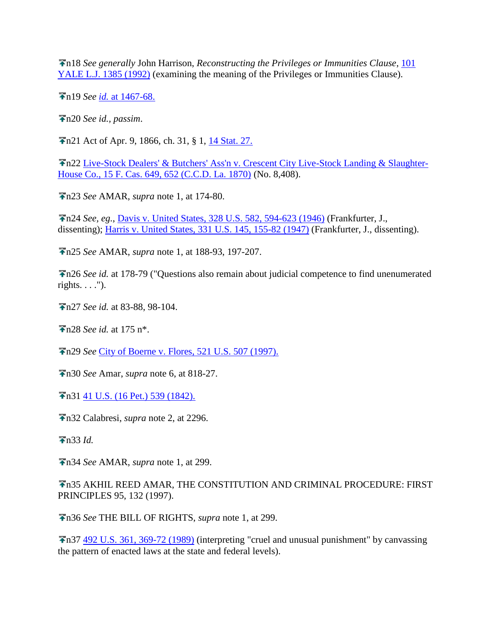n18 *See generally* John Harrison, *Reconstructing the Privileges or Immunities Clause*, [101](http://www.lexis.com/research/buttonTFLink?_m=cc550e8a68484defbf70d3f1ff6b8300&_xfercite=%3ccite%20cc%3d%22USA%22%3e%3c%21%5bCDATA%5b87%20Geo.%20L.J.%202347%5d%5d%3e%3c%2fcite%3e&_butType=3&_butStat=2&_butNum=65&_butInline=1&_butinfo=%3ccite%20cc%3d%22USA%22%3e%3c%21%5bCDATA%5b101%20Yale%20L.J.%201385%5d%5d%3e%3c%2fcite%3e&_fmtstr=FULL&docnum=1&_startdoc=1&wchp=dGLbVtb-zSkAz&_md5=f81b746789b2435a3e2f535123265a93)  [YALE L.J. 1385 \(1992\)](http://www.lexis.com/research/buttonTFLink?_m=cc550e8a68484defbf70d3f1ff6b8300&_xfercite=%3ccite%20cc%3d%22USA%22%3e%3c%21%5bCDATA%5b87%20Geo.%20L.J.%202347%5d%5d%3e%3c%2fcite%3e&_butType=3&_butStat=2&_butNum=65&_butInline=1&_butinfo=%3ccite%20cc%3d%22USA%22%3e%3c%21%5bCDATA%5b101%20Yale%20L.J.%201385%5d%5d%3e%3c%2fcite%3e&_fmtstr=FULL&docnum=1&_startdoc=1&wchp=dGLbVtb-zSkAz&_md5=f81b746789b2435a3e2f535123265a93) (examining the meaning of the Privileges or Immunities Clause).

n19 *See id.* [at 1467-68.](http://www.lexis.com/research/buttonTFLink?_m=cc550e8a68484defbf70d3f1ff6b8300&_xfercite=%3ccite%20cc%3d%22USA%22%3e%3c%21%5bCDATA%5b87%20Geo.%20L.J.%202347%5d%5d%3e%3c%2fcite%3e&_butType=3&_butStat=2&_butNum=66&_butInline=1&_butinfo=%3ccite%20cc%3d%22USA%22%3e%3c%21%5bCDATA%5b101%20Yale%20L.J.%201385%2cat%201467%5d%5d%3e%3c%2fcite%3e&_fmtstr=FULL&docnum=1&_startdoc=1&wchp=dGLbVtb-zSkAz&_md5=b553b792be9569ba7901ca3c333b3de5)

n20 *See id., passim*.

n21 Act of Apr. 9, 1866, ch. 31, § 1, [14 Stat. 27.](http://www.lexis.com/research/buttonTFLink?_m=cc550e8a68484defbf70d3f1ff6b8300&_xfercite=%3ccite%20cc%3d%22USA%22%3e%3c%21%5bCDATA%5b87%20Geo.%20L.J.%202347%5d%5d%3e%3c%2fcite%3e&_butType=3&_butStat=2&_butNum=67&_butInline=1&_butinfo=%3ccite%20cc%3d%22USA%22%3e%3c%21%5bCDATA%5b14%20Stat.%2027%5d%5d%3e%3c%2fcite%3e&_fmtstr=FULL&docnum=1&_startdoc=1&wchp=dGLbVtb-zSkAz&_md5=ced704c190f756925e1e9458d5114c30)

n22 [Live-Stock Dealers' & Butchers' Ass'n v. Crescent City Live-Stock Landing & Slaughter-](http://www.lexis.com/research/buttonTFLink?_m=cc550e8a68484defbf70d3f1ff6b8300&_xfercite=%3ccite%20cc%3d%22USA%22%3e%3c%21%5bCDATA%5b87%20Geo.%20L.J.%202347%5d%5d%3e%3c%2fcite%3e&_butType=3&_butStat=2&_butNum=68&_butInline=1&_butinfo=%3ccite%20cc%3d%22USA%22%3e%3c%21%5bCDATA%5b15%20F.%20Cas.%20649%2cat%20652%5d%5d%3e%3c%2fcite%3e&_fmtstr=FULL&docnum=1&_startdoc=1&wchp=dGLbVtb-zSkAz&_md5=1e96391743ce2ee9558f25fa480b6506)[House Co., 15 F. Cas. 649, 652 \(C.C.D. La. 1870\)](http://www.lexis.com/research/buttonTFLink?_m=cc550e8a68484defbf70d3f1ff6b8300&_xfercite=%3ccite%20cc%3d%22USA%22%3e%3c%21%5bCDATA%5b87%20Geo.%20L.J.%202347%5d%5d%3e%3c%2fcite%3e&_butType=3&_butStat=2&_butNum=68&_butInline=1&_butinfo=%3ccite%20cc%3d%22USA%22%3e%3c%21%5bCDATA%5b15%20F.%20Cas.%20649%2cat%20652%5d%5d%3e%3c%2fcite%3e&_fmtstr=FULL&docnum=1&_startdoc=1&wchp=dGLbVtb-zSkAz&_md5=1e96391743ce2ee9558f25fa480b6506) (No. 8,408).

n23 *See* AMAR, *supra* note 1, at 174-80.

n24 *See, eg.*, [Davis v. United States, 328 U.S. 582, 594-623 \(1946\)](http://www.lexis.com/research/buttonTFLink?_m=cc550e8a68484defbf70d3f1ff6b8300&_xfercite=%3ccite%20cc%3d%22USA%22%3e%3c%21%5bCDATA%5b87%20Geo.%20L.J.%202347%5d%5d%3e%3c%2fcite%3e&_butType=3&_butStat=2&_butNum=69&_butInline=1&_butinfo=%3ccite%20cc%3d%22USA%22%3e%3c%21%5bCDATA%5b328%20U.S.%20582%2cat%20594%5d%5d%3e%3c%2fcite%3e&_fmtstr=FULL&docnum=1&_startdoc=1&wchp=dGLbVtb-zSkAz&_md5=a5f55e47e70eb00de8883b67467a096f) (Frankfurter, J., dissenting); [Harris v. United States, 331 U.S. 145, 155-82 \(1947\)](http://www.lexis.com/research/buttonTFLink?_m=cc550e8a68484defbf70d3f1ff6b8300&_xfercite=%3ccite%20cc%3d%22USA%22%3e%3c%21%5bCDATA%5b87%20Geo.%20L.J.%202347%5d%5d%3e%3c%2fcite%3e&_butType=3&_butStat=2&_butNum=70&_butInline=1&_butinfo=%3ccite%20cc%3d%22USA%22%3e%3c%21%5bCDATA%5b331%20U.S.%20145%2cat%20155%5d%5d%3e%3c%2fcite%3e&_fmtstr=FULL&docnum=1&_startdoc=1&wchp=dGLbVtb-zSkAz&_md5=915d014ade46c8227fbf768d6d1089e4) (Frankfurter, J., dissenting).

n25 *See* AMAR, *supra* note 1, at 188-93, 197-207.

n26 *See id.* at 178-79 ("Questions also remain about judicial competence to find unenumerated rights.  $\ldots$ ").

n27 *See id.* at 83-88, 98-104.

n28 *See id.* at 175 n\*.

n29 *See* [City of Boerne v. Flores, 521 U.S. 507 \(1997\).](http://www.lexis.com/research/buttonTFLink?_m=cc550e8a68484defbf70d3f1ff6b8300&_xfercite=%3ccite%20cc%3d%22USA%22%3e%3c%21%5bCDATA%5b87%20Geo.%20L.J.%202347%5d%5d%3e%3c%2fcite%3e&_butType=3&_butStat=2&_butNum=71&_butInline=1&_butinfo=%3ccite%20cc%3d%22USA%22%3e%3c%21%5bCDATA%5b521%20U.S.%20507%5d%5d%3e%3c%2fcite%3e&_fmtstr=FULL&docnum=1&_startdoc=1&wchp=dGLbVtb-zSkAz&_md5=58c8de3b722e8e4177f6f5cd1c2ad06b)

n30 *See* Amar, *supra* note 6, at 818-27.

**F**n31 [41 U.S. \(16 Pet.\) 539 \(1842\).](http://www.lexis.com/research/buttonTFLink?_m=cc550e8a68484defbf70d3f1ff6b8300&_xfercite=%3ccite%20cc%3d%22USA%22%3e%3c%21%5bCDATA%5b87%20Geo.%20L.J.%202347%5d%5d%3e%3c%2fcite%3e&_butType=3&_butStat=2&_butNum=72&_butInline=1&_butinfo=%3ccite%20cc%3d%22USA%22%3e%3c%21%5bCDATA%5b41%20U.S.%20539%5d%5d%3e%3c%2fcite%3e&_fmtstr=FULL&docnum=1&_startdoc=1&wchp=dGLbVtb-zSkAz&_md5=33e2921817254b038e3df284702018a4)

n32 Calabresi, *supra* note 2, at 2296.

n33 *Id.*

n34 *See* AMAR, *supra* note 1, at 299.

n35 AKHIL REED AMAR, THE CONSTITUTION AND CRIMINAL PROCEDURE: FIRST PRINCIPLES 95, 132 (1997).

n36 *See* THE BILL OF RIGHTS, *supra* note 1, at 299.

n37 [492 U.S. 361, 369-72 \(1989\)](http://www.lexis.com/research/buttonTFLink?_m=cc550e8a68484defbf70d3f1ff6b8300&_xfercite=%3ccite%20cc%3d%22USA%22%3e%3c%21%5bCDATA%5b87%20Geo.%20L.J.%202347%5d%5d%3e%3c%2fcite%3e&_butType=3&_butStat=2&_butNum=73&_butInline=1&_butinfo=%3ccite%20cc%3d%22USA%22%3e%3c%21%5bCDATA%5b492%20U.S.%20361%2cat%20369%5d%5d%3e%3c%2fcite%3e&_fmtstr=FULL&docnum=1&_startdoc=1&wchp=dGLbVtb-zSkAz&_md5=e1c8dbbedcd0a4edbd30349f3e8fc982) (interpreting "cruel and unusual punishment" by canvassing the pattern of enacted laws at the state and federal levels).